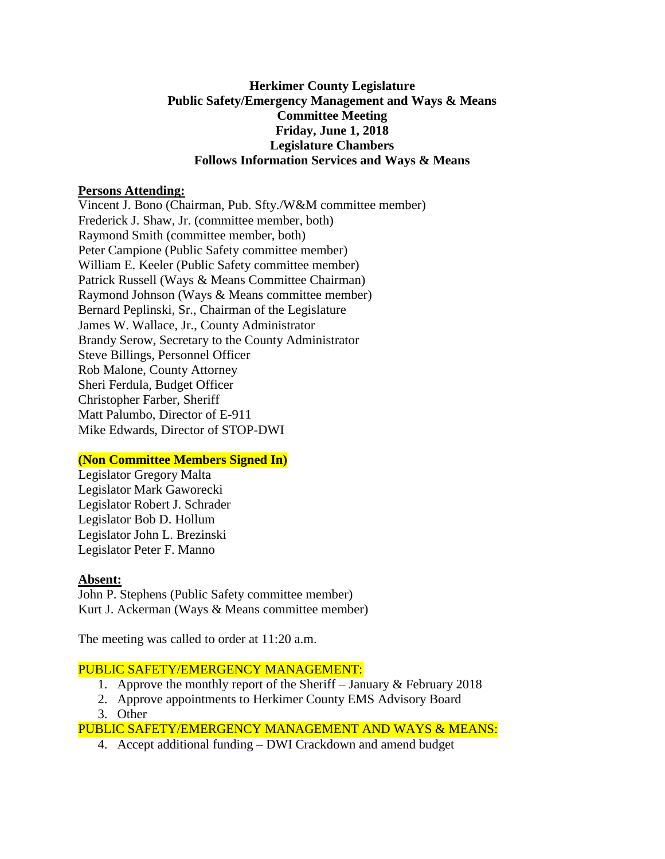# **Herkimer County Legislature Public Safety/Emergency Management and Ways & Means Committee Meeting Friday, June 1, 2018 Legislature Chambers Follows Information Services and Ways & Means**

# **Persons Attending:**

Vincent J. Bono (Chairman, Pub. Sfty./W&M committee member) Frederick J. Shaw, Jr. (committee member, both) Raymond Smith (committee member, both) Peter Campione (Public Safety committee member) William E. Keeler (Public Safety committee member) Patrick Russell (Ways & Means Committee Chairman) Raymond Johnson (Ways & Means committee member) Bernard Peplinski, Sr., Chairman of the Legislature James W. Wallace, Jr., County Administrator Brandy Serow, Secretary to the County Administrator Steve Billings, Personnel Officer Rob Malone, County Attorney Sheri Ferdula, Budget Officer Christopher Farber, Sheriff Matt Palumbo, Director of E-911 Mike Edwards, Director of STOP-DWI

# **(Non Committee Members Signed In)**

Legislator Gregory Malta Legislator Mark Gaworecki Legislator Robert J. Schrader Legislator Bob D. Hollum Legislator John L. Brezinski Legislator Peter F. Manno

# **Absent:**

John P. Stephens (Public Safety committee member) Kurt J. Ackerman (Ways & Means committee member)

The meeting was called to order at 11:20 a.m.

#### PUBLIC SAFETY/EMERGENCY MANAGEMENT:

- 1. Approve the monthly report of the Sheriff January & February 2018
- 2. Approve appointments to Herkimer County EMS Advisory Board
- 3. Other

# PUBLIC SAFETY/EMERGENCY MANAGEMENT AND WAYS & MEANS:

4. Accept additional funding – DWI Crackdown and amend budget